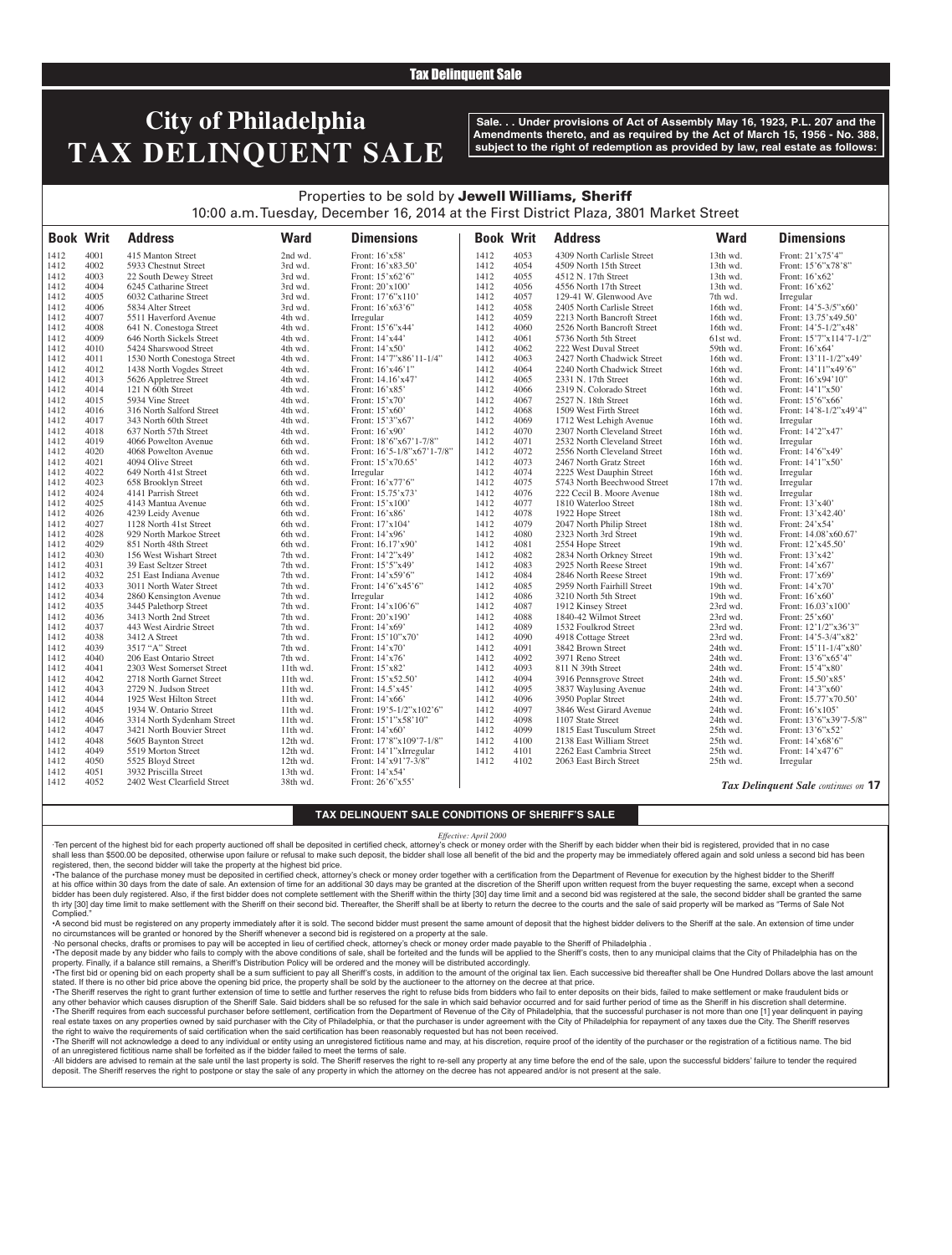### Tax Delinquent Sale

# **City of Philadelphia TAX DELINQUENT SALE**

**Sale. . . Under provisions of Act of Assembly May 16, 1923, P.L. 207 and the Amendments thereto, and as required by the Act of March 15, 1956 - No. 388, subject to the right of redemption as provided by law, real estate as follows:**

## Properties to be sold by Jewell Williams, Sheriff 10:00 a.m. Tuesday, December 16, 2014 at the First District Plaza, 3801 Market Street

| <b>Book Writ</b> |              | <b>Address</b>              | <b>Ward</b>        | <b>Dimensions</b>          | <b>Book Writ</b> |              | <b>Address</b>              | <b>Ward</b>            | <b>Dimensions</b>                   |
|------------------|--------------|-----------------------------|--------------------|----------------------------|------------------|--------------|-----------------------------|------------------------|-------------------------------------|
| 1412             | 4001         | 415 Manton Street           | 2nd wd.            | Front: 16'x58'             | 1412             | 4053         | 4309 North Carlisle Street  | 13th wd.               | Front: 21'x75'4"                    |
| 1412             | 4002         | 5933 Chestnut Street        | 3rd wd.            | Front: 16'x83.50'          | 1412             | 4054         | 4509 North 15th Street      | 13th wd.               | Front: 15'6"x78'8"                  |
| 1412             | 4003         | 22 South Dewey Street       | 3rd wd.            | Front: 15'x62'6"           | 1412             | 4055         | 4512 N. 17th Street         | 13th wd.               | Front: 16'x62'                      |
| 1412             | 4004         | 6245 Catharine Street       | 3rd wd.            | Front: 20'x100'            | 1412             | 4056         | 4556 North 17th Street      | 13th wd.               | Front: 16'x62'                      |
| 1412             | 4005         | 6032 Catharine Street       | 3rd wd.            | Front: 17'6"x110'          | 1412             | 4057         | 129-41 W. Glenwood Ave      | 7th wd.                | Irregular                           |
| 1412             | 4006         | 5834 Alter Street           | 3rd wd.            | Front: 16'x63'6"           | 1412             | 4058         | 2405 North Carlisle Street  | 16th wd.               | Front: 14'5-3/5"x60"                |
| 1412             | 4007         | 5511 Haverford Avenue       | 4th wd.            | Irregular                  | 1412             | 4059         | 2213 North Bancroft Street  | 16th wd.               | Front: 13.75'x49.50'                |
| 1412             | 4008         | 641 N. Conestoga Street     | 4th wd.            | Front: 15'6"x44'           | 1412             | 4060         | 2526 North Bancroft Street  | 16th wd.               | Front: $14'5 - 1/2''x48'$           |
| 1412             | 4009         | 646 North Sickels Street    | 4th wd.            | Front: 14'x44'             | 1412             | 4061         | 5736 North 5th Street       | 61st wd.               | Front: 15'7"x114'7-1/2"             |
| 1412             | 4010         | 5424 Sharswood Street       | 4th wd.            | Front: $14'x50'$           | 1412             | 4062         | 222 West Duval Street       | 59th wd.               | Front: $16'x64'$                    |
| 1412             | 4011         | 1530 North Conestoga Street | 4th wd.            | Front: 14'7"x86'11-1/4"    | 1412             | 4063         | 2427 North Chadwick Street  | 16th wd.               | Front: 13'11-1/2"x49'               |
| 1412             | 4012         | 1438 North Vogdes Street    | 4th wd.            | Front: 16'x46'1"           | 1412             | 4064         | 2240 North Chadwick Street  | 16th wd.               | Front: 14'11"x49'6"                 |
| 1412             | 4013         | 5626 Appletree Street       | 4th wd.            | Front: 14.16'x47'          | 1412             | 4065         | 2331 N. 17th Street         | 16th wd.               | Front: 16'x94'10"                   |
| 1412             | 4014         | 121 N 60th Street           | 4th wd.            | Front: 16'x85'             | 1412             | 4066         | 2319 N. Colorado Street     | 16th wd.               | Front: $14'1''x50'$                 |
| 1412             | 4015         | 5934 Vine Street            | 4th wd.            | Front: 15'x70'             | 1412             | 4067         | 2527 N. 18th Street         | 16th wd.               | Front: 15'6"x66'                    |
| 1412             | 4016         | 316 North Salford Street    | 4th wd.            | Front: 15'x60'             | 1412             | 4068         | 1509 West Firth Street      | 16th wd.               | Front: 14'8-1/2"x49'4"              |
| 1412             | 4017         | 343 North 60th Street       | 4th wd.            | Front: 15'3"x67'           | 1412             | 4069         | 1712 West Lehigh Avenue     | 16th wd.               | Irregular                           |
| 1412             | 4018         | 637 North 57th Street       | 4th wd.            | Front: 16'x90'             | 1412             | 4070         | 2307 North Cleveland Street | 16th wd.               | Front: 14'2"x47'                    |
| 1412             | 4019         | 4066 Powelton Avenue        | 6th wd.            | Front: 18'6"x67'1-7/8"     | 1412             | 4071         | 2532 North Cleveland Street | 16th wd.               | Irregular                           |
| 1412             | 4020         | 4068 Powelton Avenue        | 6th wd.            | Front: 16'5-1/8"x67'1-7/8" | 1412             | 4072         | 2556 North Cleveland Street | 16th wd.               | Front: 14'6"x49'                    |
| 1412             | 4021         | 4094 Olive Street           | 6th wd.            | Front: 15'x70.65'          | 1412             | 4073         | 2467 North Gratz Street     | 16th wd.               | Front: 14'1"x50'                    |
| 1412             | 4022         | 649 North 41st Street       | 6th wd.            | Irregular                  | 1412             | 4074         | 2225 West Dauphin Street    | 16th wd.               | Irregular                           |
| 1412             | 4023         | 658 Brooklyn Street         | 6th wd.            | Front: 16'x77'6"           | 1412             | 4075         | 5743 North Beechwood Street | 17th wd.               | Irregular                           |
| 1412             | 4024         | 4141 Parrish Street         | 6th wd.            | Front: 15.75'x73'          | 1412             | 4076         | 222 Cecil B. Moore Avenue   | 18th wd.               | Irregular                           |
| 1412             | 4025         | 4143 Mantua Avenue          | 6th wd.            | Front: 15'x100'            | 1412             | 4077         | 1810 Waterloo Street        | 18th wd.               | Front: 13'x40'                      |
| 1412             | 4026         | 4239 Leidy Avenue           | 6th wd.            | Front: 16'x86'             | 1412             | 4078         | 1922 Hope Street            | 18th wd.               | Front: 13'x42.40'                   |
| 1412             | 4027         | 1128 North 41st Street      | 6th wd.            | Front: 17'x104'            | 1412             | 4079         | 2047 North Philip Street    | 18th wd.               | Front: 24'x54'                      |
| 1412             | 4028         | 929 North Markoe Street     |                    | Front: 14'x96'             |                  | 4080         |                             |                        |                                     |
| 1412             | 4029         | 851 North 48th Street       | 6th wd.<br>6th wd. |                            | 1412<br>1412     | 4081         | 2323 North 3rd Street       | 19th wd.<br>$19th$ wd. | Front: 14.08'x60.67'                |
|                  |              |                             |                    | Front: 16.17'x90'          |                  |              | 2554 Hope Street            |                        | Front: 12'x45.50'                   |
| 1412             | 4030         | 156 West Wishart Street     | 7th wd.            | Front: 14'2"x49'           | 1412             | 4082         | 2834 North Orkney Street    | 19th wd.               | Front: 13'x42'                      |
| 1412             | 4031         | 39 East Seltzer Street      | 7th wd.            | Front: 15'5"x49'           | 1412             | 4083         | 2925 North Reese Street     | 19th wd.               | Front: 14'x67'                      |
| 1412             | 4032<br>4033 | 251 East Indiana Avenue     | 7th wd.            | Front: 14'x59'6"           | 1412             | 4084<br>4085 | 2846 North Reese Street     | 19th wd.               | Front: 17'x69'                      |
| 1412             |              | 3011 North Water Street     | 7th wd.            | Front: 14'6"x45'6"         | 1412             |              | 2959 North Fairhill Street  | 19th wd.               | Front: 14'x70'                      |
| 1412             | 4034         | 2860 Kensington Avenue      | 7th wd.            | Irregular                  | 1412             | 4086         | 3210 North 5th Street       | 19th wd.               | Front: $16'x60'$                    |
| 1412             | 4035         | 3445 Palethorp Street       | 7th wd.            | Front: 14'x106'6"          | 1412             | 4087         | 1912 Kinsey Street          | 23rd wd.               | Front: 16.03'x100'                  |
| 1412             | 4036         | 3413 North 2nd Street       | 7th wd.            | Front: 20'x190'            | 1412             | 4088         | 1840-42 Wilmot Street       | 23rd wd.               | Front: 25'x60'                      |
| 1412             | 4037         | 443 West Airdrie Street     | 7th wd.            | Front: 14'x69'             | 1412             | 4089         | 1532 Foulkrod Street        | 23rd wd.               | Front: 12'1/2"x36'3"                |
| 1412             | 4038         | 3412 A Street               | 7th wd.            | Front: 15'10"x70'          | 1412             | 4090         | 4918 Cottage Street         | 23rd wd.               | Front: 14'5-3/4"x82"                |
| 1412             | 4039         | 3517 "A" Street             | 7th wd.            | Front: 14'x70'             | 1412             | 4091         | 3842 Brown Street           | 24th wd.               | Front: 15'11-1/4"x80"               |
| 1412             | 4040         | 206 East Ontario Street     | 7th wd.            | Front: 14'x76'             | 1412             | 4092         | 3971 Reno Street            | 24th wd.               | Front: 13'6"x65'4"                  |
| 1412             | 4041         | 2303 West Somerset Street   | 11th wd.           | Front: 15'x82'             | 1412             | 4093         | 811 N 39th Street           | 24th wd.               | Front: 15'4"x80'                    |
| 1412             | 4042         | 2718 North Garnet Street    | 11th wd.           | Front: 15'x52.50'          | 1412             | 4094         | 3916 Pennsgrove Street      | 24th wd.               | Front: 15.50'x85'                   |
| 1412             | 4043         | 2729 N. Judson Street       | 11th wd.           | Front: 14.5'x45'           | 1412             | 4095         | 3837 Waylusing Avenue       | 24th wd.               | Front: 14'3"x60'                    |
| 1412             | 4044         | 1925 West Hilton Street     | $11th$ wd.         | Front: 14'x66'             | 1412             | 4096         | 3950 Poplar Street          | 24th wd.               | Front: 15.77'x70.50'                |
| 1412             | 4045         | 1934 W. Ontario Street      | 11th wd.           | Front: 19'5-1/2"x102'6"    | 1412             | 4097         | 3846 West Girard Avenue     | 24th wd.               | Front: 16'x105'                     |
| 1412             | 4046         | 3314 North Sydenham Street  | 11th wd.           | Front: 15'1"x58'10"        | 1412             | 4098         | 1107 State Street           | 24th wd.               | Front: 13'6"x39'7-5/8"              |
| 1412             | 4047         | 3421 North Bouvier Street   | 11th wd.           | Front: 14'x60'             | 1412             | 4099         | 1815 East Tusculum Street   | 25th wd.               | Front: 13'6"x52'                    |
| 1412             | 4048         | 5605 Baynton Street         | 12th wd.           | Front: 17'8"x109'7-1/8"    | 1412             | 4100         | 2138 East William Street    | 25th wd.               | Front: 14'x68'6"                    |
| 1412             | 4049         | 5519 Morton Street          | 12th wd.           | Front: 14'1"xIrregular     | 1412             | 4101         | 2262 East Cambria Street    | 25th wd.               | Front: 14'x47'6"                    |
| 1412             | 4050         | 5525 Bloyd Street           | 12th wd.           | Front: 14'x91'7-3/8"       | 1412             | 4102         | 2063 East Birch Street      | 25th wd.               | Irregular                           |
| 1412             | 4051         | 3932 Priscilla Street       | 13th wd.           | Front: 14'x54'             |                  |              |                             |                        |                                     |
| 1412             | 4052         | 2402 West Clearfield Street | 38th wd.           | Front: 26'6"x55'           |                  |              |                             |                        | Tax Dolinguant Salo continues on 17 |

*Tax Delinquent Sale continues on* **17**

#### **TAX DELINQUENT SALE CONDITIONS OF SHERIFF'S SALE**

#### *Effective: April 2000*

·Ten percent of the highest bid for each property auctioned off shall be deposited in certified check, attorney's check or money order with the Sheriff by each bidder when their bid is registered, provided that in no case shall less than \$500.00 be deposited, otherwise upon failure or refusal to make such deposit, the bidder shall lose all benefit of the bid and the property may be immediately offered again and sold unless a second bid has registered, then, the second bidder will take the property at the highest bid price.

•The balance of the purchase money must be deposited in certified check, attorney's check or money order together with a certification from the Department of Revenue for execution by the highest bidder to the Sheriff at his office within 30 days from the date of sale. An extension of time for an additional 30 days may be granted at the discretion of the Sheriff upon written request from the buyer requesting the same, except when a seco bidder has been duly registered. Also, if the first bidder does not complete settlement with the Sheriff within the thirty [30] day time limit and a second bid was registered at the sale, the second bidder shall be granted th irty [30] day time limit to make settlement with the Sheriff on their second bid. Thereafter, the Sheriff shall be at liberty to return the decree to the courts and the sale of said property will be marked as "Terms of Complied.

•A second bid must be registered on any property immediately after it is sold. The second bidder must present the same amount of deposit that the highest bidder delivers to the Sheriff at the sale. An extension of time under no circumstances will be granted or honored by the Sheriff whenever a second bid is registered on a property at the sale.

·No personal checks, drafts or promises to pay will be accepted in lieu of certified check, attorney's check or money order made payable to the Sheriff of Philadelphia .

. The deposit made by any bidder who fails to comply with the above conditions of sale, shall be forteited and the funds will be applied to the Sheriff's costs, then to any municipal claims that the City of Philadelphia ha

property. Finally, if a balance still remains, a Sheriff's Distribution Policy will be ordered and the money will be distributed accordingly. The first bid or opening bid on each property shall be a sum sufficient to pay all Sheriff's costs, in addition to the amount of the original tax lien. Each successive bid thereafter shall be One Hundred Dollars above the

stated. If there is no other bid price above the opening bid price, the property shall be sold by the auctioneer to the attorney on the decree at that price. · The Sheriff reserves the right to grant further extension of time to settle and further reserves the right to refuse bids from bidders who fail to enter deposits on their bids, failed to make settlement or make fraudulen any other behavior which causes disruption of the Sheriff Sale. Said bidders shall be so refused for the sale in which said behavior occurred and for said further period of time as the Sheriff in his discretion shall deter . The Sheriff requires from each successful purchaser before settlement, certification from the Department of Revenue of the City of Philadelphia, that the successful purchaser is not more than one [1] year delinquent in p real estate taxes on any properties owned by said purchaser with the City of Philadelphia, or that the purchaser is under agreement with the City of Philadelphia for repayment of any taxes due the City. The Sheriff reserve the right to waive the requirements of said certification when the said certification has been reasonably requested but has not been received.

The Sheriff will not acknowledge a deed to any individual or entity using an unregistered fictitious name and may, at his discretion, require proof of the identity of the purchaser or the registration of a fictitious name. of an unregistered fictitious name shall be forfeited as if the bidder failed to meet the terms of sale.

-All bidders are advised to remain at the sale until the last property is sold. The Sheriff reserves the right to re-sell any property at any time before the end of the sale, upon the successful bidders' failure to tender deposit. The Sheriff reserves the right to postpone or stay the sale of any property in which the attorney on the decree has not appeared and/or is not present at the sale.